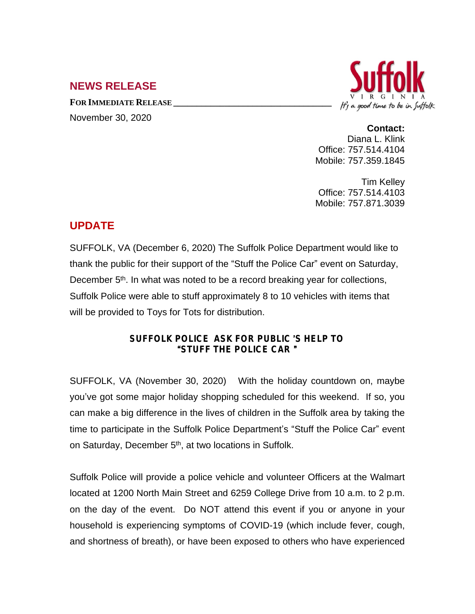## **NEWS RELEASE**

**FOR IMMEDIATE RELEASE \_\_\_\_\_\_\_\_\_\_\_\_\_\_\_\_\_\_\_\_\_\_\_\_\_\_\_\_\_\_\_\_\_\_**



November 30, 2020

**Contact:** Diana L. Klink Office: 757.514.4104 Mobile: 757.359.1845

Tim Kelley Office: 757.514.4103 Mobile: 757.871.3039

## **UPDATE**

SUFFOLK, VA (December 6, 2020) The Suffolk Police Department would like to thank the public for their support of the "Stuff the Police Car" event on Saturday, December 5<sup>th</sup>. In what was noted to be a record breaking year for collections, Suffolk Police were able to stuff approximately 8 to 10 vehicles with items that will be provided to Toys for Tots for distribution.

## **SUFFOLK POLICE ASK FOR PUBLIC** '**S HELP TO** "**STUFF THE POLICE CAR** "

SUFFOLK, VA (November 30, 2020) With the holiday countdown on, maybe you've got some major holiday shopping scheduled for this weekend. If so, you can make a big difference in the lives of children in the Suffolk area by taking the time to participate in the Suffolk Police Department's "Stuff the Police Car" event on Saturday, December 5<sup>th</sup>, at two locations in Suffolk.

Suffolk Police will provide a police vehicle and volunteer Officers at the Walmart located at 1200 North Main Street and 6259 College Drive from 10 a.m. to 2 p.m. on the day of the event. Do NOT attend this event if you or anyone in your household is experiencing symptoms of COVID-19 (which include fever, cough, and shortness of breath), or have been exposed to others who have experienced